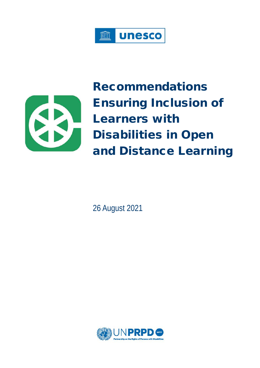



Recommendations Ensuring Inclusion of Learners with Disabilities in Open and Distance Learning

26 August 2021